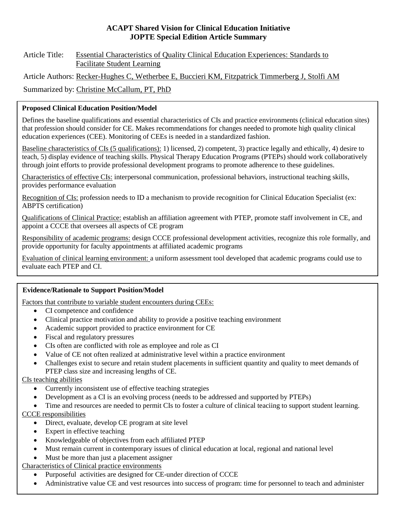### **ACAPT Shared Vision for Clinical Education Initiative JOPTE Special Edition Article Summary**

### Article Title: Essential Characteristics of Quality Clinical Education Experiences: Standards to Facilitate Student Learning

Article Authors: Recker-Hughes C, Wetherbee E, Buccieri KM, Fitzpatrick Timmerberg J, Stolfi AM

Summarized by: Christine McCallum, PT, PhD

## **Proposed Clinical Education Position/Model**

Defines the baseline qualifications and essential characteristics of CIs and practice environments (clinical education sites) that profession should consider for CE. Makes recommendations for changes needed to promote high quality clinical education experiences (CEE). Monitoring of CEEs is needed in a standardized fashion.

Baseline characteristics of CIs (5 qualifications): 1) licensed, 2) competent, 3) practice legally and ethically, 4) desire to teach, 5) display evidence of teaching skills. Physical Therapy Education Programs (PTEPs) should work collaboratively through joint efforts to provide professional development programs to promote adherence to these guidelines.

Characteristics of effective CIs: interpersonal communication, professional behaviors, instructional teaching skills, provides performance evaluation

Recognition of CIs: profession needs to ID a mechanism to provide recognition for Clinical Education Specialist (ex: ABPTS certification)

Qualifications of Clinical Practice: establish an affiliation agreement with PTEP, promote staff involvement in CE, and appoint a CCCE that oversees all aspects of CE program

Responsibility of academic programs: design CCCE professional development activities, recognize this role formally, and provide opportunity for faculty appointments at affiliated academic programs

Evaluation of clinical learning environment: a uniform assessment tool developed that academic programs could use to evaluate each PTEP and CI.

### **Evidence/Rationale to Support Position/Model**

Factors that contribute to variable student encounters during CEEs:

- CI competence and confidence
- Clinical practice motivation and ability to provide a positive teaching environment
- Academic support provided to practice environment for CE
- Fiscal and regulatory pressures
- CIs often are conflicted with role as employee and role as CI
- Value of CE not often realized at administrative level within a practice environment
- Challenges exist to secure and retain student placements in sufficient quantity and quality to meet demands of PTEP class size and increasing lengths of CE.

CIs teaching abilities

- Currently inconsistent use of effective teaching strategies
- Development as a CI is an evolving process (needs to be addressed and supported by PTEPs)
- Time and resources are needed to permit CIs to foster a culture of clinical teaciing to support student learning.

CCCE responsibilities

- Direct, evaluate, develop CE program at site level
- Expert in effective teaching
- Knowledgeable of objectives from each affiliated PTEP
- Must remain current in contemporary issues of clinical education at local, regional and national level
- Must be more than just a placement assigner

Characteristics of Clinical practice environments

- Purposeful activities are designed for CE-under direction of CCCE
- Administrative value CE and vest resources into success of program: time for personnel to teach and administer